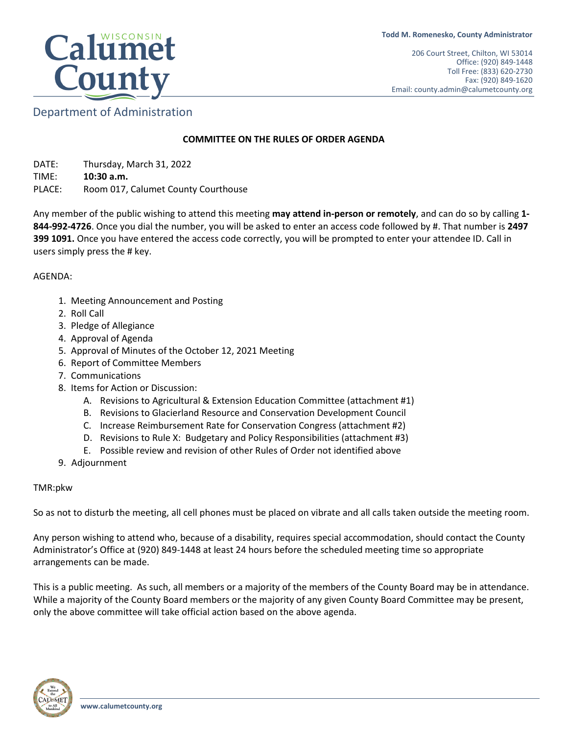

# Department of Administration

#### **COMMITTEE ON THE RULES OF ORDER AGENDA**

DATE: Thursday, March 31, 2022 TIME: **10:30 a.m.**  PLACE: Room 017, Calumet County Courthouse

Any member of the public wishing to attend this meeting **may attend in-person or remotely**, and can do so by calling **1- 844-992-4726**. Once you dial the number, you will be asked to enter an access code followed by #. That number is **2497 399 1091.** Once you have entered the access code correctly, you will be prompted to enter your attendee ID. Call in users simply press the # key.

AGENDA:

- 1. Meeting Announcement and Posting
- 2. Roll Call
- 3. Pledge of Allegiance
- 4. Approval of Agenda
- 5. Approval of Minutes of the October 12, 2021 Meeting
- 6. Report of Committee Members
- 7. Communications
- 8. Items for Action or Discussion:
	- A. Revisions to Agricultural & Extension Education Committee (attachment #1)
	- B. Revisions to Glacierland Resource and Conservation Development Council
	- C. Increase Reimbursement Rate for Conservation Congress (attachment #2)
	- D. Revisions to Rule X: Budgetary and Policy Responsibilities (attachment #3)
	- E. Possible review and revision of other Rules of Order not identified above
- 9. Adjournment

#### TMR:pkw

So as not to disturb the meeting, all cell phones must be placed on vibrate and all calls taken outside the meeting room.

Any person wishing to attend who, because of a disability, requires special accommodation, should contact the County Administrator's Office at (920) 849-1448 at least 24 hours before the scheduled meeting time so appropriate arrangements can be made.

This is a public meeting. As such, all members or a majority of the members of the County Board may be in attendance. While a majority of the County Board members or the majority of any given County Board Committee may be present, only the above committee will take official action based on the above agenda.

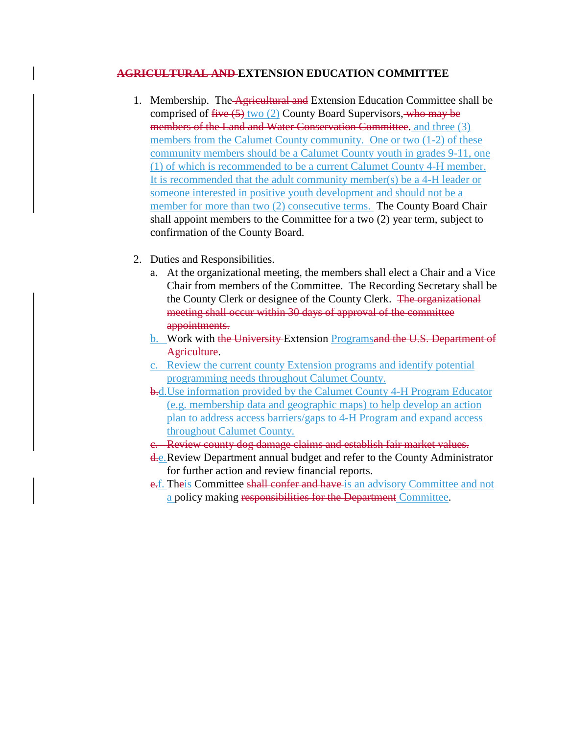### **AGRICULTURAL AND EXTENSION EDUCATION COMMITTEE**

- 1. Membership. The Agricultural and Extension Education Committee shall be comprised of  $five(5)$  two (2) County Board Supervisors, who may be members of the Land and Water Conservation Committee, and three (3) members from the Calumet County community. One or two (1-2) of these community members should be a Calumet County youth in grades 9-11, one (1) of which is recommended to be a current Calumet County 4-H member. It is recommended that the adult community member(s) be a 4-H leader or someone interested in positive youth development and should not be a member for more than two (2) consecutive terms. The County Board Chair shall appoint members to the Committee for a two (2) year term, subject to confirmation of the County Board.
- 2. Duties and Responsibilities.
	- a. At the organizational meeting, the members shall elect a Chair and a Vice Chair from members of the Committee. The Recording Secretary shall be the County Clerk or designee of the County Clerk. The organizational meeting shall occur within 30 days of approval of the committee appointments.
	- b. Work with the University Extension Programsand the U.S. Department of Agriculture.
	- c. Review the current county Extension programs and identify potential programming needs throughout Calumet County.
	- b.d.Use information provided by the Calumet County 4-H Program Educator (e.g. membership data and geographic maps) to help develop an action plan to address access barriers/gaps to 4-H Program and expand access throughout Calumet County.
	- c. Review county dog damage claims and establish fair market values.
	- d.e. Review Department annual budget and refer to the County Administrator for further action and review financial reports.
	- e.f. Theis Committee shall confer and have is an advisory Committee and not a policy making responsibilities for the Department Committee.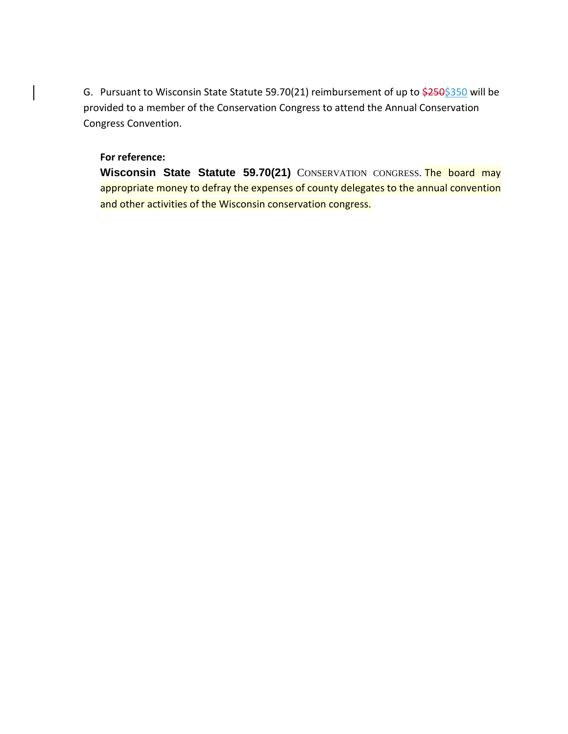G. Pursuant to Wisconsin State Statute 59.70(21) reimbursement of up to  $\frac{250}{350}$  will be provided to a member of the Conservation Congress to attend the Annual Conservation Congress Convention.

# **For reference:**

**Wisconsin State Statute 59.70(21)** CONSERVATION CONGRESS. The board may appropriate money to defray the expenses of county delegates to the annual convention and other activities of the Wisconsin conservation congress.